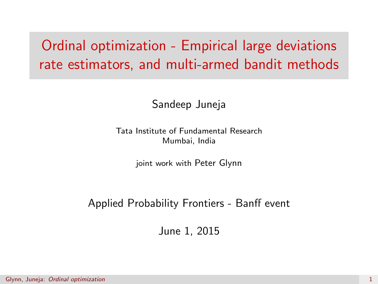# <span id="page-0-0"></span>Ordinal optimization - Empirical large deviations rate estimators, and multi-armed bandit methods

#### Sandeep Juneja

Tata Institute of Fundamental Research Mumbai, India

joint work with Peter Glynn

#### Applied Probability Frontiers - Banff event

June 1, 2015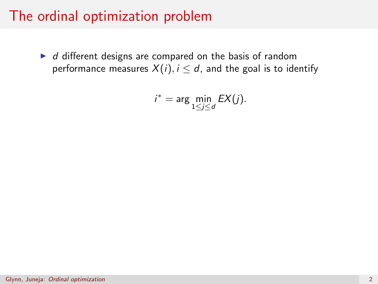$\blacktriangleright$  d different designs are compared on the basis of random performance measures  $X(i)$ ,  $i \leq d$ , and the goal is to identify

$$
i^* = \arg\min_{1 \le j \le d} EX(j).
$$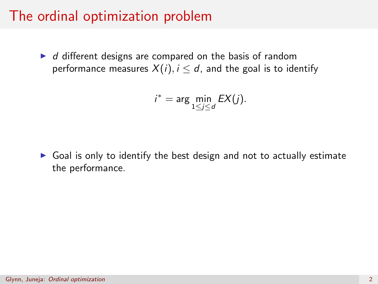$\blacktriangleright$  d different designs are compared on the basis of random performance measures  $X(i)$ ,  $i \le d$ , and the goal is to identify

$$
i^* = \arg\min_{1 \le j \le d} EX(j).
$$

 $\triangleright$  Goal is only to identify the best design and not to actually estimate the performance.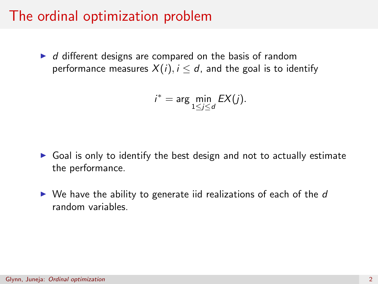$\blacktriangleright$  d different designs are compared on the basis of random performance measures  $X(i)$ ,  $i \le d$ , and the goal is to identify

$$
i^* = \arg\min_{1 \le j \le d} EX(j).
$$

- $\triangleright$  Goal is only to identify the best design and not to actually estimate the performance.
- $\triangleright$  We have the ability to generate iid realizations of each of the d random variables.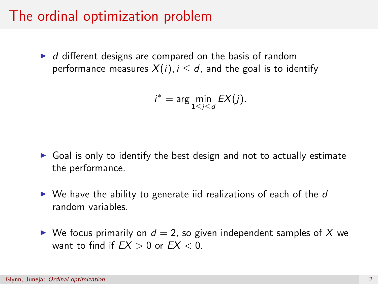$\blacktriangleright$  d different designs are compared on the basis of random performance measures  $X(i)$ ,  $i \le d$ , and the goal is to identify

$$
i^* = \arg\min_{1 \le j \le d} EX(j).
$$

- $\triangleright$  Goal is only to identify the best design and not to actually estimate the performance.
- $\triangleright$  We have the ability to generate iid realizations of each of the d random variables.
- $\triangleright$  We focus primarily on  $d = 2$ , so given independent samples of X we want to find if  $EX > 0$  or  $EX < 0$ .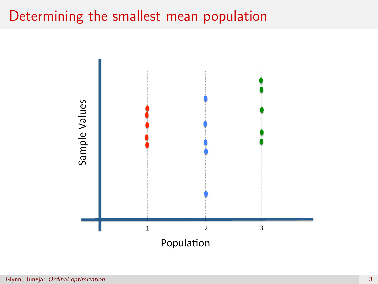#### Determining the smallest mean population

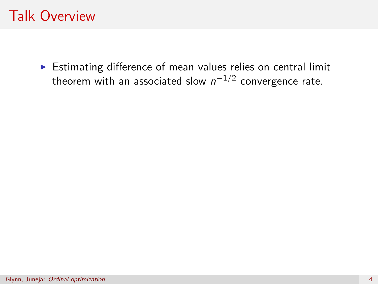# Talk Overview

 $\triangleright$  Estimating difference of mean values relies on central limit theorem with an associated slow  $n^{-1/2}$  convergence rate.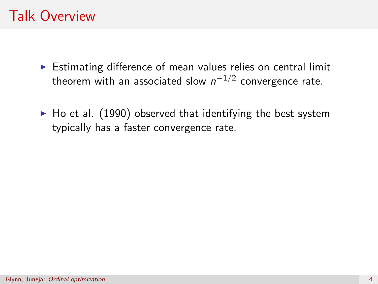# Talk Overview

- $\triangleright$  Estimating difference of mean values relies on central limit theorem with an associated slow  $n^{-1/2}$  convergence rate.
- $\blacktriangleright$  Ho et al. (1990) observed that identifying the best system typically has a faster convergence rate.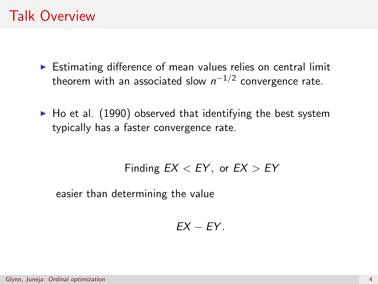# Talk Overview

- $\triangleright$  Estimating difference of mean values relies on central limit theorem with an associated slow  $n^{-1/2}$  convergence rate.
- $\blacktriangleright$  Ho et al. (1990) observed that identifying the best system typically has a faster convergence rate.

Finding  $EX < EY$ , or  $EX > EY$ 

easier than determining the value

$$
EX-FY.
$$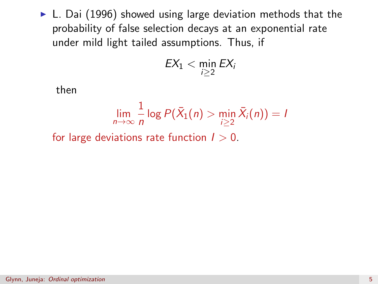$\blacktriangleright$  L. Dai (1996) showed using large deviation methods that the probability of false selection decays at an exponential rate under mild light tailed assumptions. Thus, if

$$
EX_1 < \min_{i \geq 2} EX_i
$$

then

$$
\lim_{n\to\infty}\frac{1}{n}\log P(\bar{X}_1(n)>\min_{i\geq 2}\bar{X}_i(n))=I
$$

for large deviations rate function  $l > 0$ .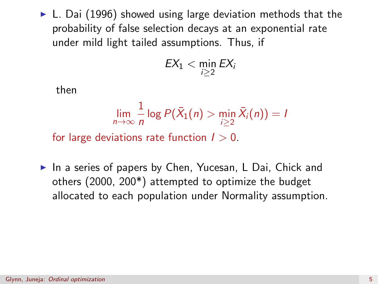$\triangleright$  L. Dai (1996) showed using large deviation methods that the probability of false selection decays at an exponential rate under mild light tailed assumptions. Thus, if

$$
EX_1 < \min_{i \geq 2} EX_i
$$

then

$$
\lim_{n\to\infty}\frac{1}{n}\log P(\bar{X}_1(n)>\min_{i\geq 2}\bar{X}_i(n))=I
$$

for large deviations rate function  $l > 0$ .

In a series of papers by Chen, Yucesan, L Dai, Chick and others (2000, 200\*) attempted to optimize the budget allocated to each population under Normality assumption.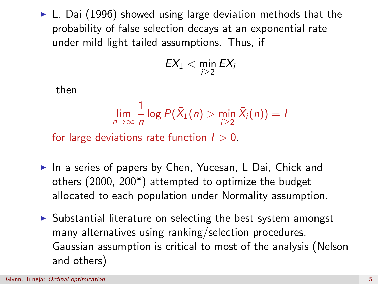$\blacktriangleright$  L. Dai (1996) showed using large deviation methods that the probability of false selection decays at an exponential rate under mild light tailed assumptions. Thus, if

$$
EX_1 < \min_{i \geq 2} EX_i
$$

then

$$
\lim_{n\to\infty}\frac{1}{n}\log P(\bar{X}_1(n)>\min_{i\geq 2}\bar{X}_i(n))=I
$$

for large deviations rate function  $l > 0$ .

- In a series of papers by Chen, Yucesan, L Dai, Chick and others (2000, 200\*) attempted to optimize the budget allocated to each population under Normality assumption.
- $\triangleright$  Substantial literature on selecting the best system amongst many alternatives using ranking/selection procedures. Gaussian assumption is critical to most of the analysis (Nelson and others)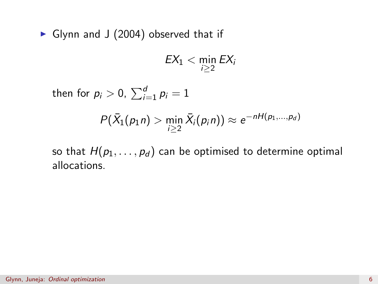$\triangleright$  Glynn and J (2004) observed that if

$$
EX_1 < \min_{i \geq 2} EX_i
$$

then for  $p_i > 0$ ,  $\sum_{i=1}^d p_i = 1$ 

$$
P(\bar{X}_1(p_1 n) > \min_{i \geq 2} \bar{X}_i(p_i n)) \approx e^{-nH(p_1, ..., p_d)}
$$

so that  $H(p_1, \ldots, p_d)$  can be optimised to determine optimal allocations.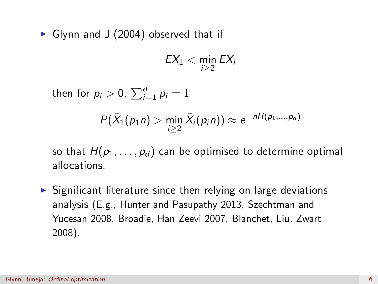$\triangleright$  Glynn and J (2004) observed that if

$$
EX_1 < \min_{i \geq 2} EX_i
$$

then for  $p_i > 0$ ,  $\sum_{i=1}^d p_i = 1$ 

$$
P(\bar{X}_1(p_1 n) > \min_{i \geq 2} \bar{X}_i(p_i n)) \approx e^{-nH(p_1, ..., p_d)}
$$

so that  $H(p_1, \ldots, p_d)$  can be optimised to determine optimal allocations.

 $\triangleright$  Significant literature since then relying on large deviations analysis (E.g., Hunter and Pasupathy 2013, Szechtman and Yucesan 2008, Broadie, Han Zeevi 2007, Blanchet, Liu, Zwart 2008).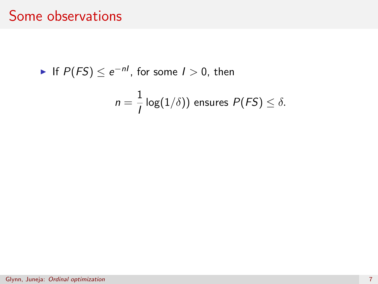# Some observations

• If 
$$
P(FS) \le e^{-nl}
$$
, for some  $l > 0$ , then

$$
n = \frac{1}{I} \log(1/\delta)
$$
 ensures  $P(FS) \leq \delta$ .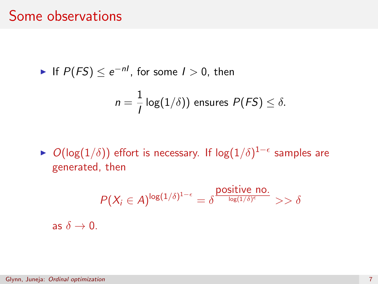#### Some observations

• If 
$$
P(FS) \le e^{-nl}
$$
, for some  $l > 0$ , then

$$
n=\frac{1}{l}\log(1/\delta))
$$
 ensures  $P(FS) \leq \delta$ .

►  $O(\log(1/\delta))$  effort is necessary. If  $\log(1/\delta)^{1-\epsilon}$  samples are generated, then

$$
P(X_i \in A)^{\log(1/\delta)^{1-\epsilon}} = \delta^{\frac{\text{positive no.}}{\log(1/\delta)^{\epsilon}}} \gg \delta
$$
as  $\delta \to 0$ .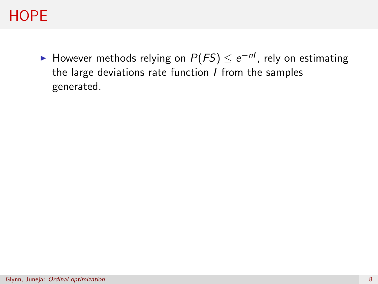# **HOPE**

► However methods relying on  $P(FS) \leq e^{-nI}$ , rely on estimating the large deviations rate function  $I$  from the samples generated.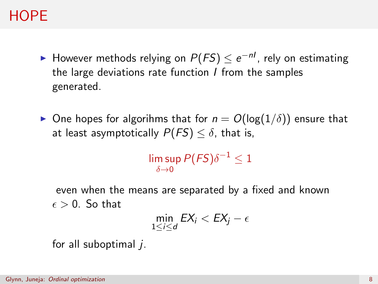# **HOPF**

- ► However methods relying on  $P(FS) \leq e^{-nI}$ , rely on estimating the large deviations rate function  $I$  from the samples generated.
- **•** One hopes for algorihms that for  $n = O(\log(1/\delta))$  ensure that at least asymptotically  $P(FS) \leq \delta$ , that is,

lim sup  $P(\mathit{FS})\delta^{-1} \leq 1$  $\delta \rightarrow 0$ 

even when the means are separated by a fixed and known  $\epsilon > 0$  So that

$$
\min_{1\leq i\leq d}EX_i
$$

for all suboptimal  $i$ .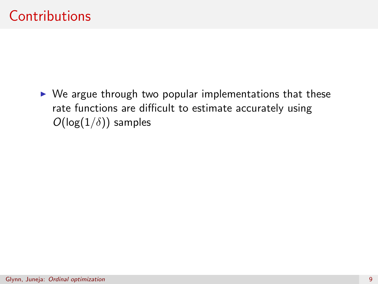$\triangleright$  We argue through two popular implementations that these rate functions are difficult to estimate accurately using  $O(\log(1/\delta))$  samples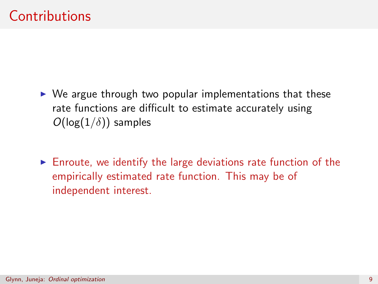- $\triangleright$  We argue through two popular implementations that these rate functions are difficult to estimate accurately using  $O(log(1/\delta))$  samples
- $\triangleright$  Enroute, we identify the large deviations rate function of the empirically estimated rate function. This may be of independent interest.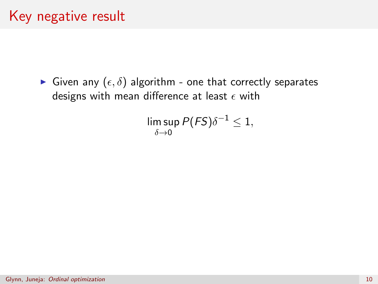# Key negative result

Given any  $(\epsilon, \delta)$  algorithm - one that correctly separates designs with mean difference at least  $\epsilon$  with

$$
\limsup_{\delta \to 0} P(FS) \delta^{-1} \leq 1,
$$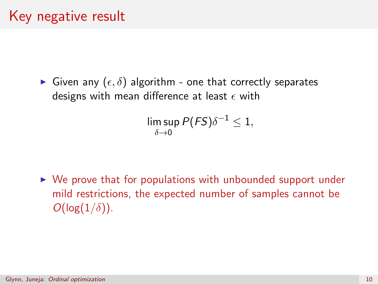Given any  $(\epsilon, \delta)$  algorithm - one that correctly separates designs with mean difference at least  $\epsilon$  with

$$
\limsup_{\delta \to 0} P(FS) \delta^{-1} \leq 1,
$$

 $\triangleright$  We prove that for populations with unbounded support under mild restrictions, the expected number of samples cannot be  $O(\log(1/\delta)).$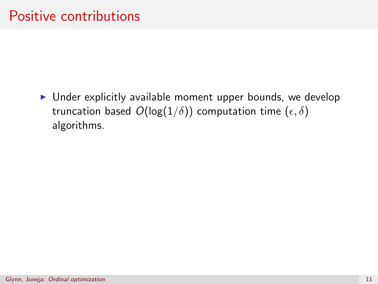$\triangleright$  Under explicitly available moment upper bounds, we develop truncation based  $O(log(1/\delta))$  computation time  $(\epsilon, \delta)$ algorithms.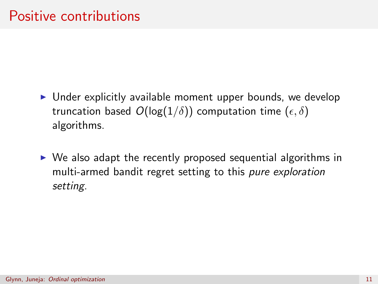- $\triangleright$  Under explicitly available moment upper bounds, we develop truncation based  $O(log(1/\delta))$  computation time  $(\epsilon, \delta)$ algorithms.
- $\triangleright$  We also adapt the recently proposed sequential algorithms in multi-armed bandit regret setting to this pure exploration setting.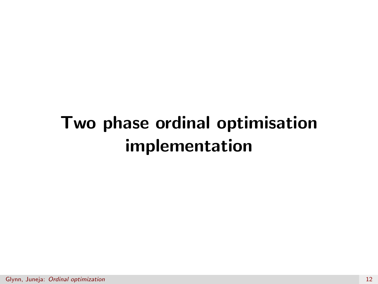# Two phase ordinal optimisation implementation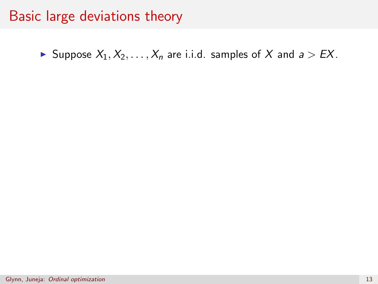# Basic large deviations theory

Suppose  $X_1, X_2, \ldots, X_n$  are i.i.d. samples of X and  $a > EX$ .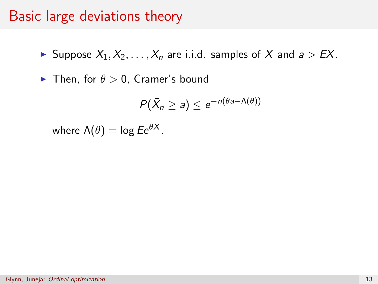# Basic large deviations theory

Suppose  $X_1, X_2, \ldots, X_n$  are i.i.d. samples of X and  $a > EX$ .

 $\blacktriangleright$  Then, for  $\theta > 0$ , Cramer's bound

$$
P(\bar{X}_n \geq a) \leq e^{-n(\theta a - \Lambda(\theta))}
$$

where  $\Lambda(\theta) = \log E e^{\theta X}$ .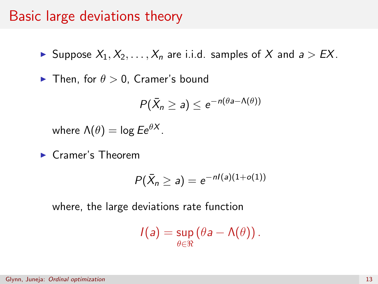#### Basic large deviations theory

Suppose  $X_1, X_2, \ldots, X_n$  are i.i.d. samples of X and  $a > EX$ .

**Fig. 1** Then, for  $\theta > 0$ , Cramer's bound

$$
P(\bar{X}_n \geq a) \leq e^{-n(\theta a - \Lambda(\theta))}
$$

where  $\Lambda(\theta) = \log E e^{\theta X}$ .

 $\blacktriangleright$  Cramer's Theorem

$$
P(\bar{X}_n \geq a) = e^{-nI(a)(1+o(1))}
$$

where, the large deviations rate function

$$
I(a) = \sup_{\theta \in \Re} (\theta a - \Lambda(\theta)).
$$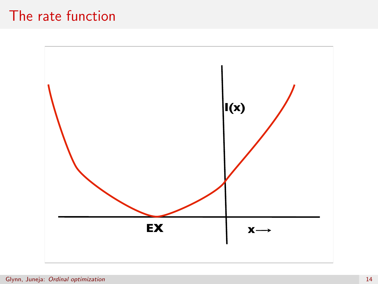# The rate function

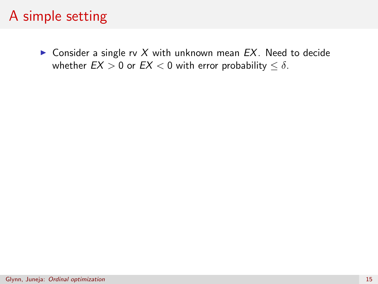# A simple setting

**Consider a single rv X with unknown mean**  $EX$ **. Need to decide** whether  $EX > 0$  or  $EX < 0$  with error probability  $\leq \delta$ .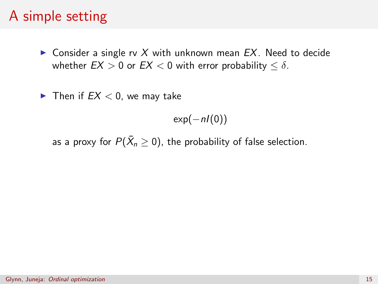# A simple setting

 $\triangleright$  Consider a single rv X with unknown mean EX. Need to decide whether  $EX > 0$  or  $EX < 0$  with error probability  $\leq \delta$ .

Then if  $EX < 0$ , we may take

 $exp(-nl(0))$ 

as a proxy for  $P(\bar{X}_n\geq 0)$ , the probability of false selection.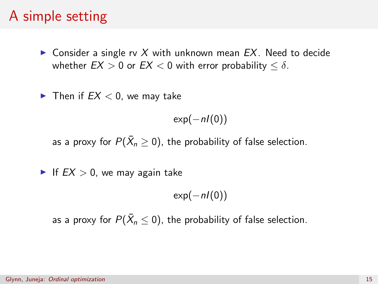# A simple setting

**Consider a single rv X with unknown mean**  $EX$ **. Need to decide** whether  $EX > 0$  or  $EX < 0$  with error probability  $\leq \delta$ .

Then if  $EX < 0$ , we may take

 $exp(-nl(0))$ 

as a proxy for  $P(\bar{X}_n\geq 0)$ , the probability of false selection.

If  $EX > 0$ , we may again take

 $exp(-nl(0))$ 

as a proxy for  $P(\bar{X}_n \leq 0)$ , the probability of false selection.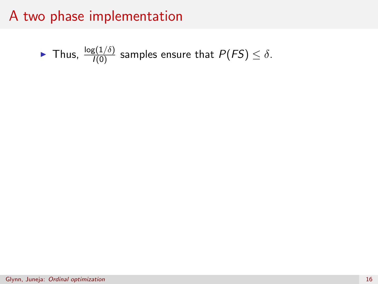► Thus, 
$$
\frac{\log(1/\delta)}{I(0)}
$$
 samples ensure that  $P(FS) \leq \delta$ .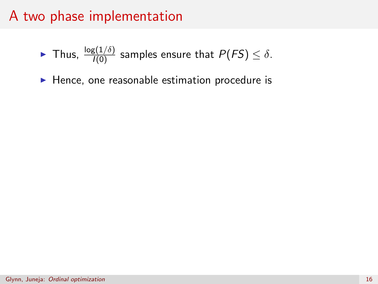- ► Thus,  $\frac{\log(1/\delta)}{I(0)}$  samples ensure that  $P(FS) \leq \delta$ .
- $\blacktriangleright$  Hence, one reasonable estimation procedure is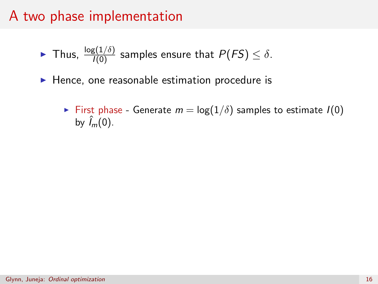- ► Thus,  $\frac{\log(1/\delta)}{I(0)}$  samples ensure that  $P(FS) \leq \delta$ .
- $\blacktriangleright$  Hence, one reasonable estimation procedure is
	- First phase Generate  $m = \log(1/\delta)$  samples to estimate  $I(0)$ by  $\hat{I}_m(0)$ .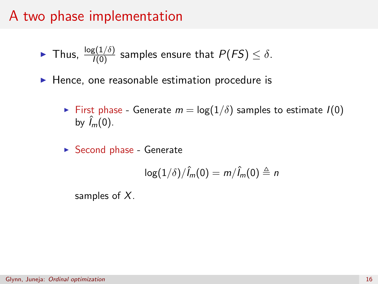- ► Thus,  $\frac{\log(1/\delta)}{I(0)}$  samples ensure that  $P(FS) \leq \delta$ .
- $\blacktriangleright$  Hence, one reasonable estimation procedure is
	- First phase Generate  $m = \log(1/\delta)$  samples to estimate  $I(0)$ by  $\hat{I}_m(0)$ .
	- $\triangleright$  Second phase Generate

$$
\log(1/\delta)/\hat{l}_m(0)=m/\hat{l}_m(0)\triangleq n
$$

samples of  $X$ .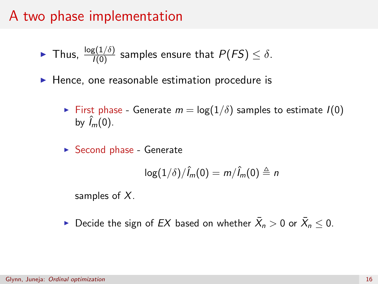#### A two phase implementation

- ► Thus,  $\frac{\log(1/\delta)}{I(0)}$  samples ensure that  $P(FS) \leq \delta$ .
- $\blacktriangleright$  Hence, one reasonable estimation procedure is
	- First phase Generate  $m = \log(1/\delta)$  samples to estimate  $I(0)$ by  $\hat{I}_m(0)$ .
	- $\triangleright$  Second phase Generate

$$
\log(1/\delta)/\hat{l}_m(0)=m/\hat{l}_m(0)\triangleq n
$$

samples of  $X$ .

 $\blacktriangleright$  Decide the sign of  $EX$  based on whether  $\bar{X}_n > 0$  or  $\bar{X}_n \leq 0$ .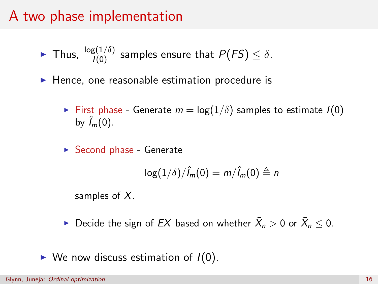#### A two phase implementation

- ► Thus,  $\frac{\log(1/\delta)}{I(0)}$  samples ensure that  $P(FS) \leq \delta$ .
- $\blacktriangleright$  Hence, one reasonable estimation procedure is
	- First phase Generate  $m = \log(1/\delta)$  samples to estimate  $I(0)$ by  $\hat{I}_m(0)$ .
	- $\triangleright$  Second phase Generate

$$
\log(1/\delta)/\hat{l}_m(0)=m/\hat{l}_m(0)\triangleq n
$$

samples of  $X$ .

- $\blacktriangleright$  Decide the sign of  $EX$  based on whether  $\bar{X}_n > 0$  or  $\bar{X}_n \leq 0$ .
- $\triangleright$  We now discuss estimation of  $I(0)$ .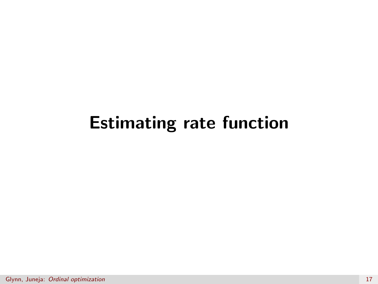# Estimating rate function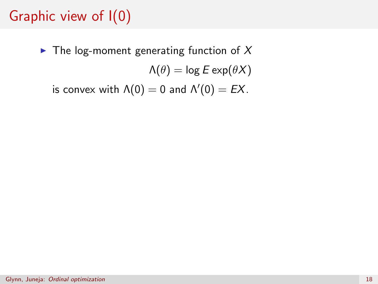## Graphic view of I(0)

 $\blacktriangleright$  The log-moment generating function of X  $\Lambda(\theta) = \log E \exp(\theta X)$ 

is convex with  $\Lambda(0) = 0$  and  $\Lambda'(0) = EX$ .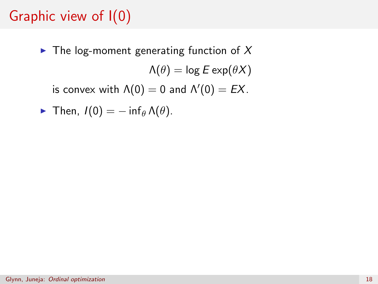## Graphic view of I(0)

 $\blacktriangleright$  The log-moment generating function of X  $\Lambda(\theta) = \log E \exp(\theta X)$ is convex with  $\Lambda(0) = 0$  and  $\Lambda'(0) = EX$ .

• Then, 
$$
I(0) = -\inf_{\theta} \Lambda(\theta)
$$
.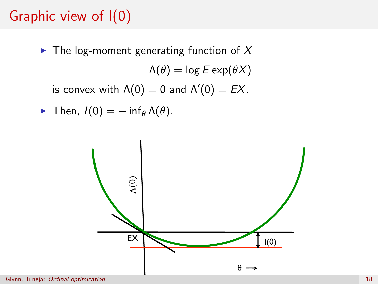## Graphic view of I(0)

 $\blacktriangleright$  The log-moment generating function of X  $\Lambda(\theta) = \log E \exp(\theta X)$ is convex with  $\Lambda(0) = 0$  and  $\Lambda'(0) = EX$ .

• Then, 
$$
I(0) = -\inf_{\theta} \Lambda(\theta)
$$
.

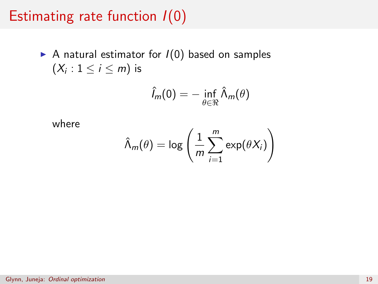### Estimating rate function  $I(0)$

A natural estimator for  $I(0)$  based on samples  $(X_i : 1 \leq i \leq m)$  is

$$
\hat{l}_m(0) = -\inf_{\theta \in \Re} \hat{\Lambda}_m(\theta)
$$

where

$$
\hat{\Lambda}_m(\theta) = \log \left( \frac{1}{m} \sum_{i=1}^m \exp(\theta X_i) \right)
$$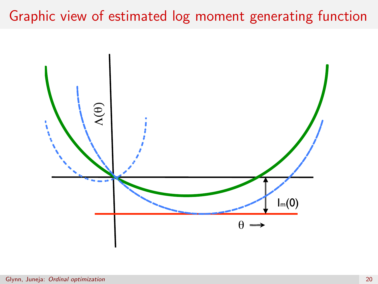## Graphic view of estimated log moment generating function

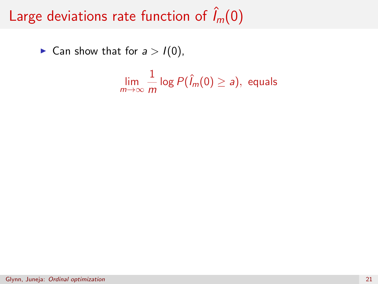# Large deviations rate function of  $\hat{I}_m(0)$

► Can show that for  $a > I(0)$ ,

$$
\lim_{m\to\infty}\frac{1}{m}\log P(\hat{l}_m(0)\geq a), \text{ equals}
$$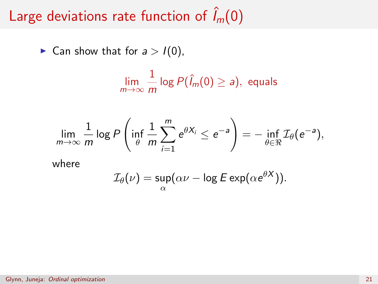# Large deviations rate function of  $\hat{I}_m(0)$

► Can show that for  $a > I(0)$ ,

$$
\lim_{m\to\infty}\frac{1}{m}\log P(\hat{l}_m(0)\geq a), \text{ equals}
$$

$$
\lim_{m\to\infty}\frac{1}{m}\log P\left(\inf_{\theta}\frac{1}{m}\sum_{i=1}^{m}e^{\theta X_{i}}\leq e^{-a}\right)=-\inf_{\theta\in\Re}\mathcal{I}_{\theta}(e^{-a}),
$$

where

$$
\mathcal{I}_{\theta}(\nu) = \sup_{\alpha} (\alpha \nu - \log E \exp(\alpha e^{\theta X})).
$$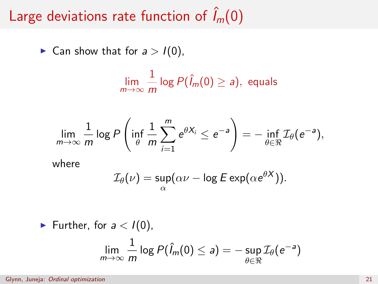# Large deviations rate function of  $\hat{I}_m(0)$

► Can show that for  $a > I(0)$ ,

$$
\lim_{m\to\infty}\frac{1}{m}\log P(\hat{l}_m(0)\geq a), \text{ equals}
$$

$$
\lim_{m\to\infty}\frac{1}{m}\log P\left(\inf_{\theta}\frac{1}{m}\sum_{i=1}^m e^{\theta X_i}\leq e^{-a}\right)=-\inf_{\theta\in\Re}\mathcal{I}_{\theta}(e^{-a}),
$$

where

$$
\mathcal{I}_{\theta}(\nu) = \sup_{\alpha} (\alpha \nu - \log E \exp(\alpha e^{\theta X})).
$$

► Further, for 
$$
a < I(0)
$$
,  
\n
$$
\lim_{m \to \infty} \frac{1}{m} \log P(\hat{I}_m(0) \le a) = -\sup_{\theta \in \mathbb{R}} \mathcal{I}_{\theta}(e^{-a})
$$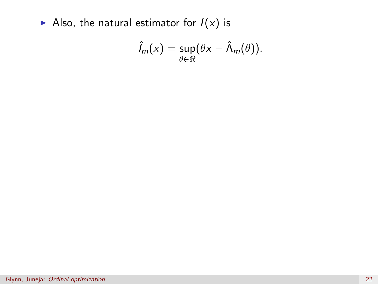Also, the natural estimator for  $I(x)$  is

$$
\hat{l}_m(x) = \sup_{\theta \in \mathbb{R}} (\theta x - \hat{\Lambda}_m(\theta)).
$$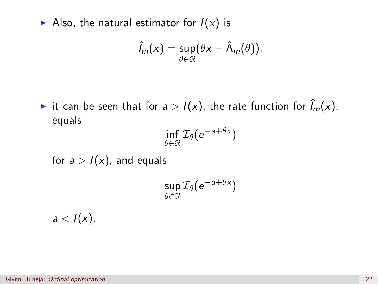Also, the natural estimator for  $I(x)$  is

$$
\hat{l}_m(x) = \sup_{\theta \in \Re} (\theta x - \hat{\Lambda}_m(\theta)).
$$

► it can be seen that for  $a > I(x)$ , the rate function for  $\hat{I}_m(x)$ , equals

$$
\inf_{\theta \in \Re} \mathcal{I}_{\theta}(e^{-a+\theta x})
$$

for  $a > I(x)$ , and equals

$$
\sup_{\theta \in \Re} \mathcal{I}_\theta(e^{-a+\theta x})
$$

 $a < I(x)$ .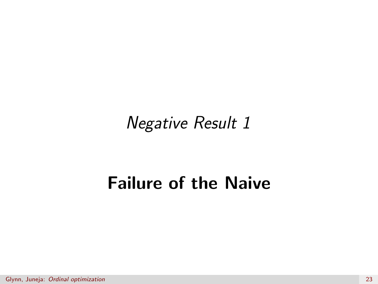Negative Result 1

## Failure of the Naive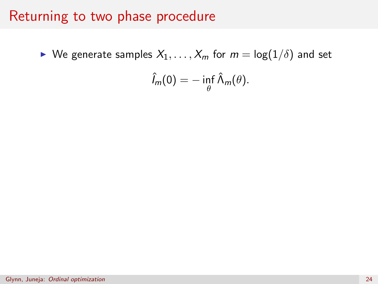#### Returning to two phase procedure

 $\blacktriangleright$  We generate samples  $X_1, \ldots, X_m$  for  $m = \log(1/\delta)$  and set

$$
\hat{l}_m(0) = -\inf_{\theta} \hat{\Lambda}_m(\theta).
$$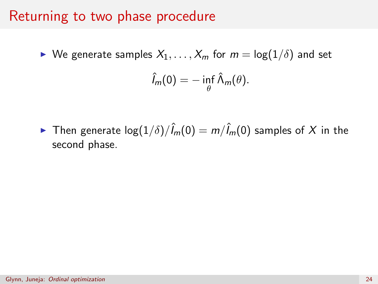#### Returning to two phase procedure

 $\blacktriangleright$  We generate samples  $X_1, \ldots, X_m$  for  $m = \log(1/\delta)$  and set

$$
\hat{l}_m(0) = -\inf_{\theta} \hat{\Lambda}_m(\theta).
$$

► Then generate  $\log(1/\delta)/\hat{I}_m(0) = m/\hat{I}_m(0)$  samples of X in the second phase.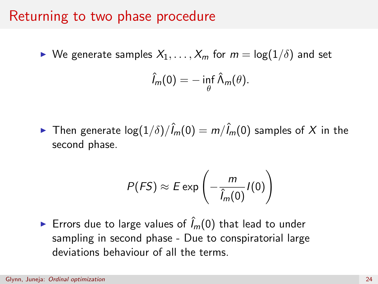#### Returning to two phase procedure

 $\triangleright$  We generate samples  $X_1, \ldots, X_m$  for  $m = \log(1/\delta)$  and set

$$
\hat{l}_m(0) = -\inf_{\theta} \hat{\Lambda}_m(\theta).
$$

► Then generate  $\log(1/\delta)/\hat{l}_m(0) = m/\hat{l}_m(0)$  samples of X in the second phase.

$$
P(FS) \approx E \exp\left(-\frac{m}{\hat{l}_m(0)}I(0)\right)
$$

Errors due to large values of  $\hat{I}_m(0)$  that lead to under sampling in second phase - Due to conspiratorial large deviations behaviour of all the terms.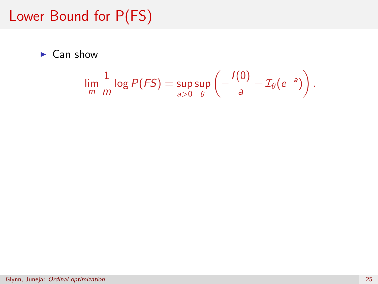## Lower Bound for P(FS)

 $\blacktriangleright$  Can show

$$
\lim_{m} \frac{1}{m} \log P(FS) = \sup_{a>0} \sup_{\theta} \left( -\frac{I(0)}{a} - \mathcal{I}_{\theta}(e^{-a}) \right).
$$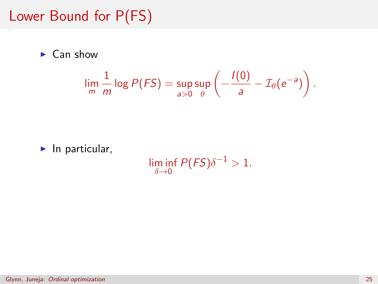### Lower Bound for P(FS)

 $\blacktriangleright$  Can show

$$
\lim_{m} \frac{1}{m} \log P(FS) = \sup_{a>0} \sup_{\theta} \left( -\frac{I(0)}{a} - \mathcal{I}_{\theta}(e^{-a}) \right).
$$

 $\blacktriangleright$  In particular,

 $\liminf_{\delta \to 0} P(FS) \delta^{-1} > 1.$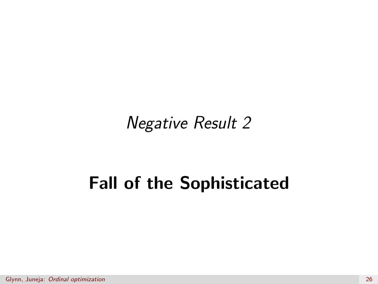Negative Result 2

# Fall of the Sophisticated

Glynn, Juneja: [Ordinal optimization](#page-0-0) 26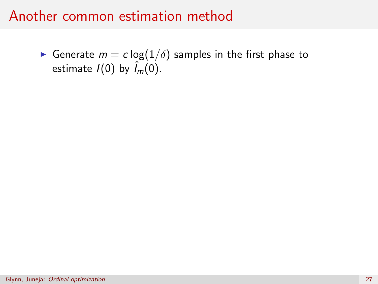$\blacktriangleright$  Generate  $m=c\log(1/\delta)$  samples in the first phase to estimate  $I(0)$  by  $\hat{I}_m(0)$ .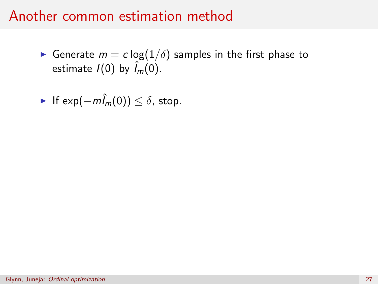$\blacktriangleright$  Generate  $m=c\log(1/\delta)$  samples in the first phase to estimate  $I(0)$  by  $\hat{I}_m(0)$ .

• If 
$$
\exp(-m\hat{l}_m(0)) \le \delta
$$
, stop.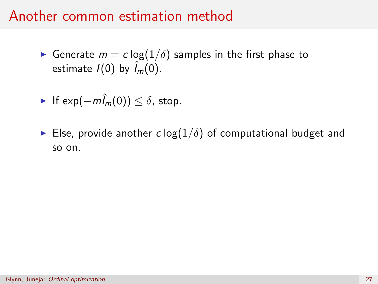Generate  $m = c \log(1/\delta)$  samples in the first phase to estimate  $I(0)$  by  $\hat{I}_m(0)$ .

• If 
$$
\exp(-m\hat{l}_m(0)) \le \delta
$$
, stop.

Else, provide another c log( $1/\delta$ ) of computational budget and so on.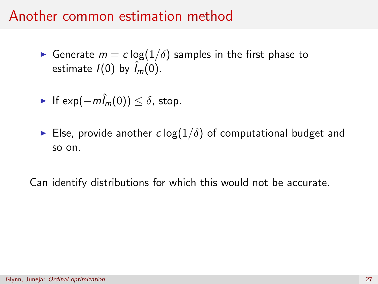Generate  $m = c \log(1/\delta)$  samples in the first phase to estimate  $I(0)$  by  $\hat{I}_m(0)$ .

• If 
$$
\exp(-m\hat{l}_m(0)) \le \delta
$$
, stop.

Else, provide another c log( $1/\delta$ ) of computational budget and so on.

Can identify distributions for which this would not be accurate.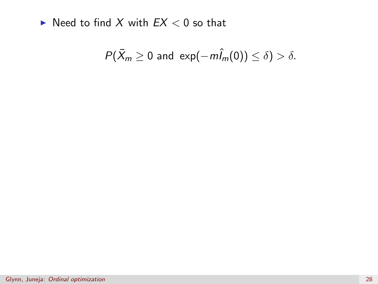$\blacktriangleright$  Need to find X with  $EX < 0$  so that

$$
P(\bar{X}_m \geq 0 \text{ and } \exp(-m\hat{I}_m(0)) \leq \delta) > \delta.
$$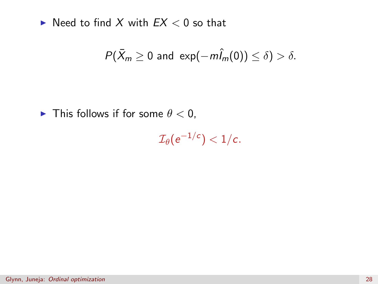$\blacktriangleright$  Need to find X with  $EX < 0$  so that

$$
P(\bar{X}_m \geq 0 \text{ and } \exp(-m\hat{I}_m(0)) \leq \delta) > \delta.
$$

In This follows if for some  $\theta < 0$ ,

 $\mathcal{I}_\theta(\mathrm{e}^{-1/c}) < 1/c.$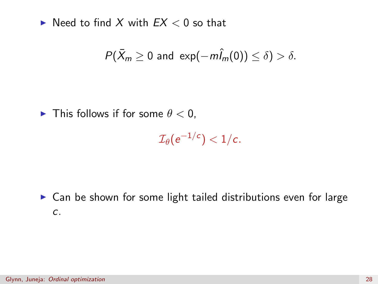$\blacktriangleright$  Need to find X with  $EX < 0$  so that

$$
P(\bar{X}_m \geq 0 \text{ and } \exp(-m\hat{I}_m(0)) \leq \delta) > \delta.
$$

In This follows if for some  $\theta < 0$ ,

$$
\mathcal{I}_{\theta}(\mathrm{e}^{-1/c}) < 1/c.
$$

 $\triangleright$  Can be shown for some light tailed distributions even for large c.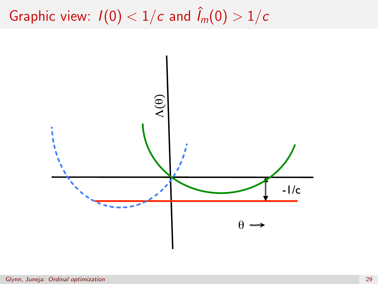Graphic view:  $I(0) < 1/c$  and  $\hat{I}_m(0) > 1/c$ 

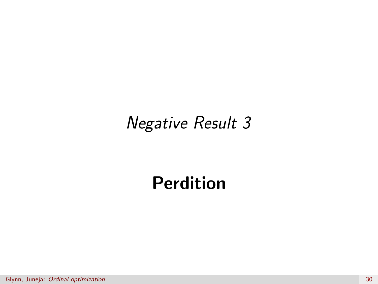# Negative Result 3

# Perdition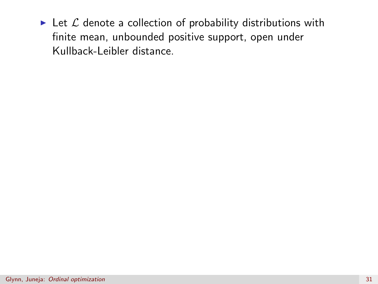Exect L denote a collection of probability distributions with finite mean, unbounded positive support, open under Kullback-Leibler distance.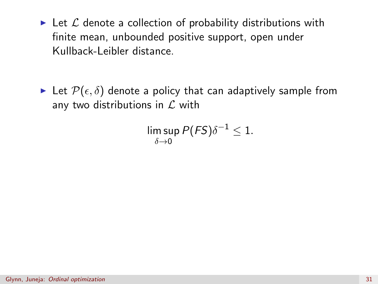- Exect L denote a collection of probability distributions with finite mean, unbounded positive support, open under Kullback-Leibler distance.
- Exect  $\mathcal{P}(\epsilon, \delta)$  denote a policy that can adaptively sample from any two distributions in  $\mathcal L$  with

$$
\limsup_{\delta \to 0} P(FS) \delta^{-1} \leq 1.
$$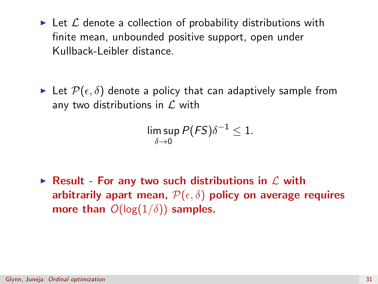- Exect L denote a collection of probability distributions with finite mean, unbounded positive support, open under Kullback-Leibler distance.
- Exect  $\mathcal{P}(\epsilon, \delta)$  denote a policy that can adaptively sample from any two distributions in  $\mathcal L$  with

$$
\limsup_{\delta \to 0} P(FS) \delta^{-1} \leq 1.
$$

Result - For any two such distributions in  $\mathcal L$  with arbitrarily apart mean,  $\mathcal{P}(\epsilon, \delta)$  policy on average requires more than  $O(\log(1/\delta))$  samples.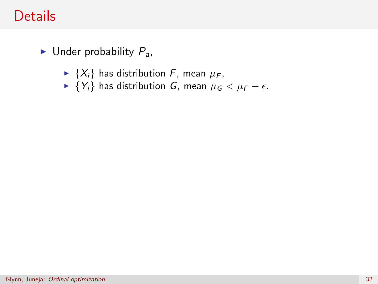### **Details**

- $\blacktriangleright$  Under probability  $P_a$ ,
	- $\blacktriangleright \{X_i\}$  has distribution F, mean  $\mu_F$ ,
	- $\blacktriangleright$  {Y<sub>i</sub>} has distribution G, mean  $\mu_G < \mu_F \epsilon$ .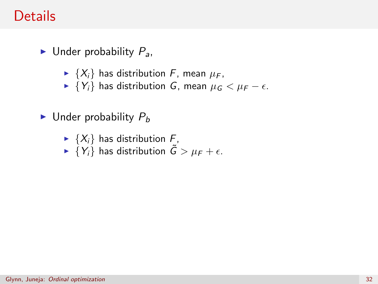### **Details**

- $\blacktriangleright$  Under probability  $P_{a}$ ,
	- $\blacktriangleright \{X_i\}$  has distribution F, mean  $\mu_F$ ,
	- $\blacktriangleright$  {Y<sub>i</sub>} has distribution G, mean  $\mu$ <sub>G</sub> <  $\mu$ <sub>F</sub>  $\epsilon$ .
- $\blacktriangleright$  Under probability  $P_b$ 
	- $\blacktriangleright$  {X<sub>i</sub>} has distribution F,
	- $\blacktriangleright \{Y_i\}$  has distribution  $\tilde{G} > \mu_F + \epsilon$ .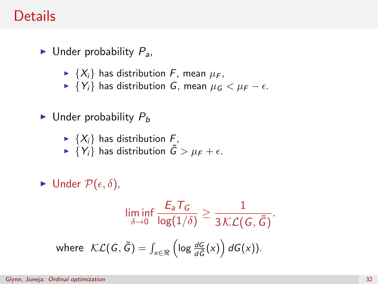### **Details**

- $\blacktriangleright$  Under probability  $P_{a}$ ,
	- $\blacktriangleright \{X_i\}$  has distribution F, mean  $\mu_F$ ,
	- $\blacktriangleright$  {Y<sub>i</sub>} has distribution G, mean  $\mu$ <sub>G</sub> <  $\mu$ <sub>F</sub>  $\epsilon$ .
- $\blacktriangleright$  Under probability  $P_b$ 
	- $\blacktriangleright$  {X<sub>i</sub>} has distribution F,
	- $\blacktriangleright \{Y_i\}$  has distribution  $\tilde{G} > \mu_F + \epsilon$ .
- $\blacktriangleright$  Under  $\mathcal{P}(\epsilon, \delta)$ ,

$$
\liminf_{\delta \to 0} \frac{E_a T_G}{\log(1/\delta)} \ge \frac{1}{3\mathcal{K}\mathcal{L}(G, \tilde{G})}.
$$
\nwhere  $\mathcal{K}\mathcal{L}(G, \tilde{G}) = \int_{x \in \Re} \left(\log \frac{dG}{d\tilde{G}}(x)\right) dG(x)$ .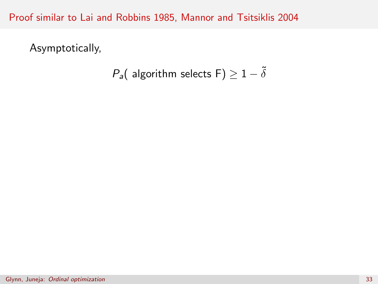Proof similar to Lai and Robbins 1985, Mannor and Tsitsiklis 2004

Asymptotically,

$$
P_a( \text{ algorithm selects } \mathsf{F}) \geq 1 - \tilde{\delta}
$$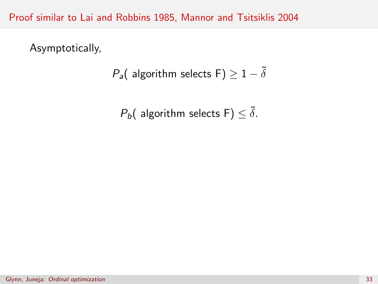Proof similar to Lai and Robbins 1985, Mannor and Tsitsiklis 2004

Asymptotically,

$$
P_a( \text{ algorithm selects } \mathsf{F}) \geq 1 - \tilde{\delta}
$$

 $P_b$ ( algorithm selects F)  $\leq \tilde{\delta}$ .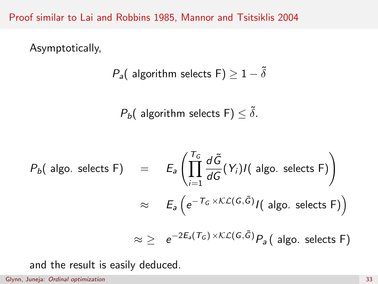Proof similar to Lai and Robbins 1985, Mannor and Tsitsiklis 2004

Asymptotically,

$$
P_a( \text{ algorithm selects } \mathsf{F}) \geq 1 - \tilde{\delta}
$$

 $P_b$ ( algorithm selects F)  $\leq \tilde{\delta}$ .

$$
P_b(\text{ algo. selects F}) = E_a \left( \prod_{i=1}^{T_G} \frac{d\tilde{G}}{dG}(Y_i) I(\text{ algo. selects F}) \right)
$$
  

$$
\approx E_a \left( e^{-T_G \times K_{\text{L}}(G, \tilde{G})} I(\text{ algo. selects F}) \right)
$$
  

$$
\approx \ge e^{-2E_a(T_G) \times K_{\text{L}}(G, \tilde{G})} P_a(\text{ algo. selects F})
$$

and the result is easily deduced.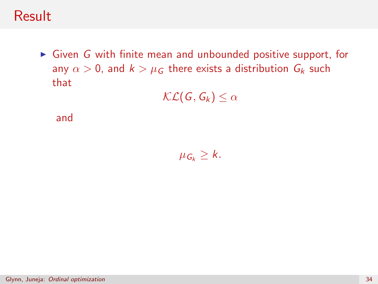#### **Result**

 $\triangleright$  Given G with finite mean and unbounded positive support, for any  $\alpha > 0$ , and  $k > \mu_G$  there exists a distribution  $G_k$  such that

 $\mathcal{KL}(G, G_k) \leq \alpha$ 

and

 $\mu_{G_k} \geq k$ .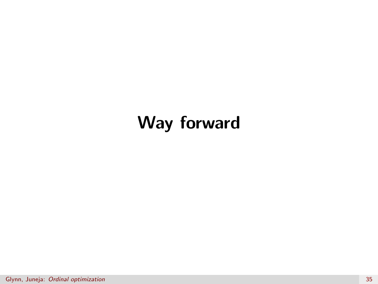## Way forward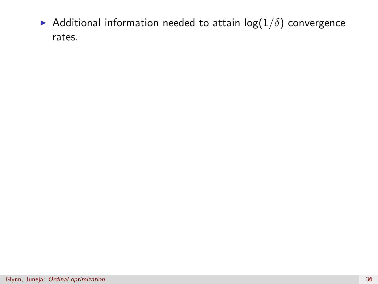Additional information needed to attain  $log(1/\delta)$  convergence rates.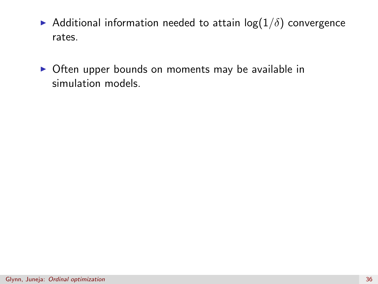- Additional information needed to attain  $log(1/\delta)$  convergence rates.
- $\triangleright$  Often upper bounds on moments may be available in simulation models.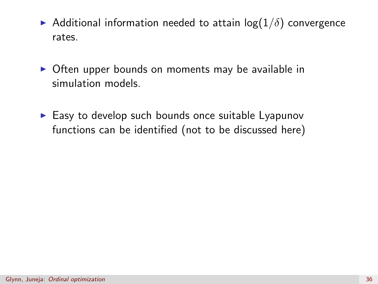- Additional information needed to attain  $log(1/\delta)$  convergence rates.
- $\triangleright$  Often upper bounds on moments may be available in simulation models.
- $\blacktriangleright$  Easy to develop such bounds once suitable Lyapunov functions can be identified (not to be discussed here)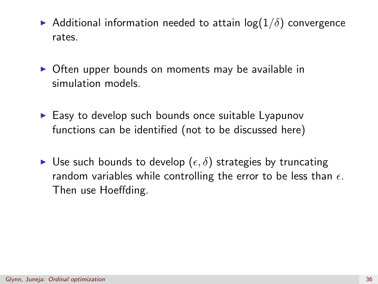- Additional information needed to attain  $log(1/\delta)$  convergence rates.
- $\triangleright$  Often upper bounds on moments may be available in simulation models.
- $\blacktriangleright$  Easy to develop such bounds once suitable Lyapunov functions can be identified (not to be discussed here)
- ► Use such bounds to develop  $(\epsilon, \delta)$  strategies by truncating random variables while controlling the error to be less than  $\epsilon$ . Then use Hoeffding.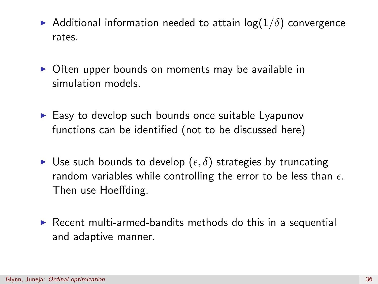- Additional information needed to attain  $log(1/\delta)$  convergence rates.
- $\triangleright$  Often upper bounds on moments may be available in simulation models.
- $\blacktriangleright$  Easy to develop such bounds once suitable Lyapunov functions can be identified (not to be discussed here)
- $\blacktriangleright$  Use such bounds to develop  $(\epsilon, \delta)$  strategies by truncating random variables while controlling the error to be less than  $\epsilon$ . Then use Hoeffding.
- $\triangleright$  Recent multi-armed-bandits methods do this in a sequential and adaptive manner.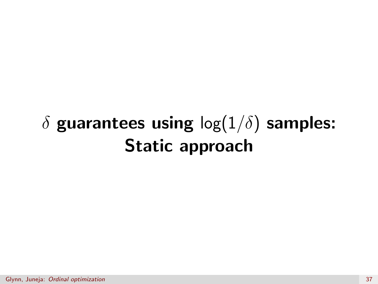# $\delta$  guarantees using  $\log(1/\delta)$  samples: Static approach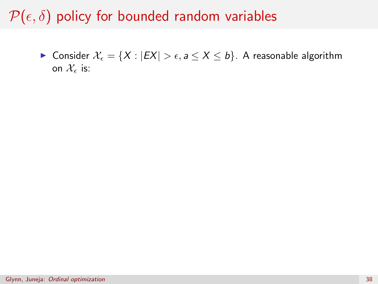► Consider  $\mathcal{X}_{\epsilon} = \{X : |EX| > \epsilon, a \leq X \leq b\}$ . A reasonable algorithm on  $\mathcal{X}_{\epsilon}$  is: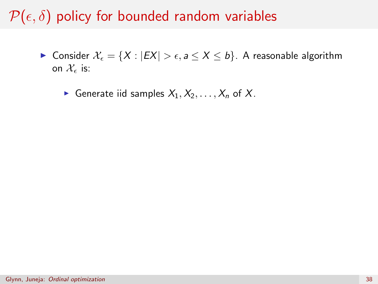- ► Consider  $\mathcal{X}_{\epsilon} = \{X : |EX| > \epsilon, a \leq X \leq b\}$ . A reasonable algorithm on  $\mathcal{X}_{\epsilon}$  is:
	- Generate iid samples  $X_1, X_2, \ldots, X_n$  of X.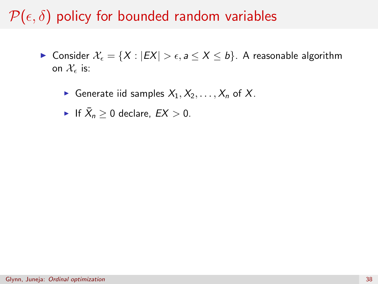- ► Consider  $\mathcal{X}_{\epsilon} = \{X : |EX| > \epsilon, a \leq X \leq b\}$ . A reasonable algorithm on  $\mathcal{X}_{\epsilon}$  is:
	- Generate iid samples  $X_1, X_2, \ldots, X_n$  of X.
	- If  $\bar{X}_n \geq 0$  declare,  $EX > 0$ .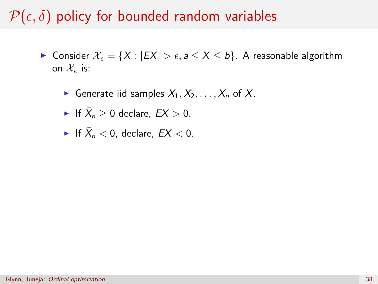- ► Consider  $\mathcal{X}_{\epsilon} = \{X : |EX| > \epsilon, a \leq X \leq b\}$ . A reasonable algorithm on  $\mathcal{X}_{\epsilon}$  is:
	- Generate iid samples  $X_1, X_2, \ldots, X_n$  of X.

• If 
$$
\bar{X}_n \geq 0
$$
 declare,  $EX > 0$ .

• If 
$$
\bar{X}_n < 0
$$
, declare,  $EX < 0$ .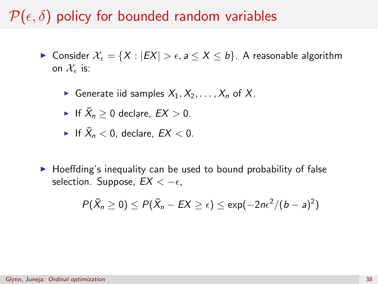- ► Consider  $\mathcal{X}_{\epsilon} = \{X : |EX| > \epsilon, a \leq X \leq b\}$ . A reasonable algorithm on  $\mathcal{X}_{\epsilon}$  is:
	- Generate iid samples  $X_1, X_2, \ldots, X_n$  of X.
	- If  $\bar{X}_n \geq 0$  declare,  $EX > 0$ .
	- If  $\bar{X}_n < 0$ , declare,  $EX < 0$ .
- $\blacktriangleright$  Hoeffding's inequality can be used to bound probability of false selection. Suppose,  $EX < -\epsilon$ .

$$
P(\bar{X}_n \geq 0) \leq P(\bar{X}_n - EX \geq \epsilon) \leq \exp(-2n\epsilon^2/(b-a)^2)
$$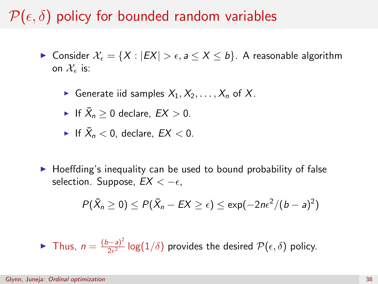- ► Consider  $\mathcal{X}_{\epsilon} = \{X : |EX| > \epsilon, a \leq X \leq b\}$ . A reasonable algorithm on  $\mathcal{X}_{\epsilon}$  is:
	- Generate iid samples  $X_1, X_2, \ldots, X_n$  of X.
	- If  $\bar{X}_n \geq 0$  declare,  $EX > 0$ .
	- If  $\bar{X}_n < 0$ , declare,  $EX < 0$ .
- $\blacktriangleright$  Hoeffding's inequality can be used to bound probability of false selection. Suppose,  $EX < -\epsilon$ .

$$
P(\bar{X}_n \geq 0) \leq P(\bar{X}_n - EX \geq \epsilon) \leq \exp(-2n\epsilon^2/(b-a)^2)
$$

**Figure** Thus,  $n = \frac{(b-a)^2}{2a^2}$  $\frac{(-a)^2}{2\epsilon^2}$  log $(1/\delta)$  provides the desired  $\mathcal{P}(\epsilon,\delta)$  policy.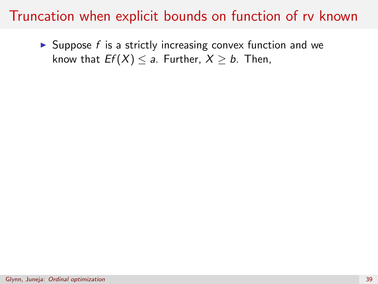$\triangleright$  Suppose f is a strictly increasing convex function and we know that  $Ef(X) \le a$ . Further,  $X \ge b$ . Then,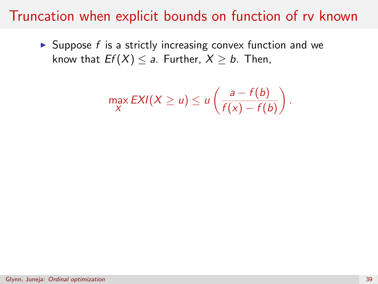$\triangleright$  Suppose f is a strictly increasing convex function and we know that  $Ef(X) \le a$ . Further,  $X \ge b$ . Then,

$$
\max_{X} EXI(X \ge u) \le u\left(\frac{a - f(b)}{f(x) - f(b)}\right).
$$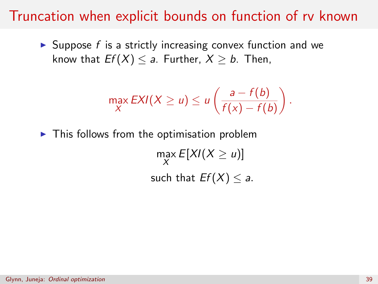$\triangleright$  Suppose f is a strictly increasing convex function and we know that  $Ef(X) < a$ . Further,  $X > b$ . Then,

$$
\max_{X} EXI(X \ge u) \le u\left(\frac{a - f(b)}{f(x) - f(b)}\right).
$$

 $\blacktriangleright$  This follows from the optimisation problem

 $\max_{X} E[XI(X \ge u)]$ such that  $Ef(X) < a$ .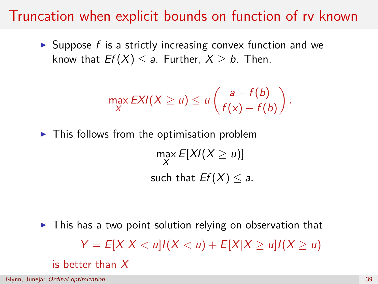$\triangleright$  Suppose f is a strictly increasing convex function and we know that  $Ef(X) < a$ . Further,  $X > b$ . Then,

$$
\max_{X} \text{EXI}(X \ge u) \le u\left(\frac{a - f(b)}{f(x) - f(b)}\right).
$$

 $\blacktriangleright$  This follows from the optimisation problem  $\max_{X} E[XI(X \ge u)]$ such that  $Ef(X) < a$ .

 $\triangleright$  This has a two point solution relying on observation that  $Y = E[X|X < u]/(X < u) + E[X|X > u]/(X > u)$ is better than  $X$ 

Glynn, Juneja: [Ordinal optimization](#page-0-0) 39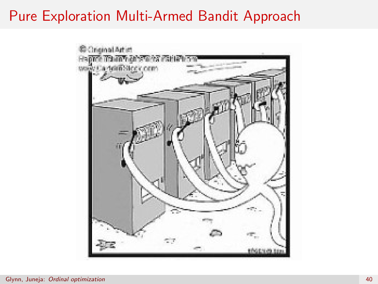## Pure Exploration Multi-Armed Bandit Approach

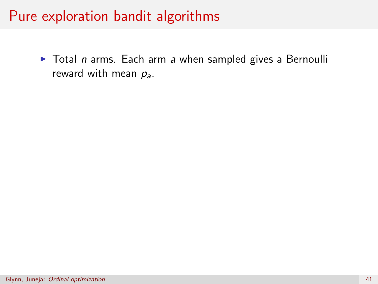$\triangleright$  Total n arms. Each arm a when sampled gives a Bernoulli reward with mean  $p_a$ .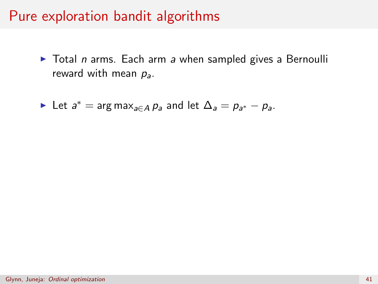$\triangleright$  Total *n* arms. Each arm a when sampled gives a Bernoulli reward with mean  $p_a$ .

► Let  $a^* = \arg \max_{a \in A} p_a$  and let  $\Delta_a = p_{a^*} - p_a$ .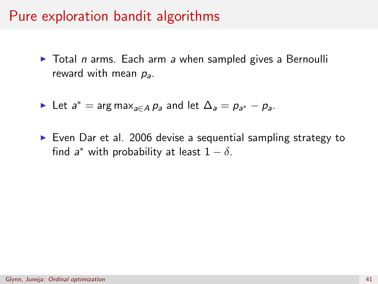- $\triangleright$  Total *n* arms. Each arm a when sampled gives a Bernoulli reward with mean  $p_a$ .
- ► Let  $a^* = \arg \max_{a \in A} p_a$  and let  $\Delta_a = p_{a^*} p_a$ .
- $\triangleright$  Even Dar et al. 2006 devise a sequential sampling strategy to find  $a^*$  with probability at least  $1 - \delta$ .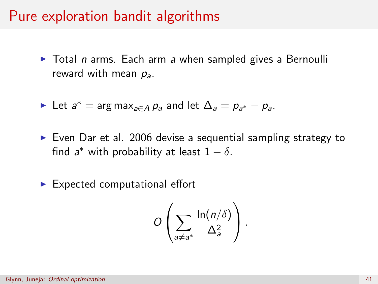$\triangleright$  Total n arms. Each arm a when sampled gives a Bernoulli reward with mean  $p_a$ .

Let 
$$
a^* = \arg \max_{a \in A} p_a
$$
 and let  $\Delta_a = p_{a^*} - p_a$ .

- $\triangleright$  Even Dar et al. 2006 devise a sequential sampling strategy to find  $a^*$  with probability at least  $1 - \delta$ .
- $\blacktriangleright$  Expected computational effort

$$
O\left(\sum_{a\neq a^*}\frac{\ln(n/\delta)}{\Delta_a^2}\right).
$$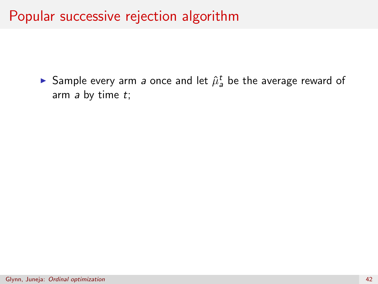#### Popular successive rejection algorithm

 $\blacktriangleright$  Sample every arm *a* once and let  $\hat{\mu}_a^t$  be the average reward of arm  $a$  by time  $t$ ;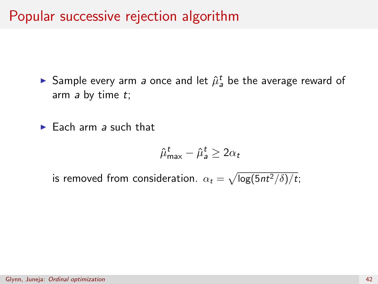#### Popular successive rejection algorithm

 $\blacktriangleright$  Sample every arm *a* once and let  $\hat{\mu}_a^t$  be the average reward of arm  $a$  by time  $t$ ;

 $\blacktriangleright$  Each arm a such that

$$
\hat{\mu}_{\max}^t - \hat{\mu}_{\text{a}}^t \ge 2\alpha_t
$$

is removed from consideration.  $\alpha_t = \sqrt{\log(5nt^2/\delta)/t};$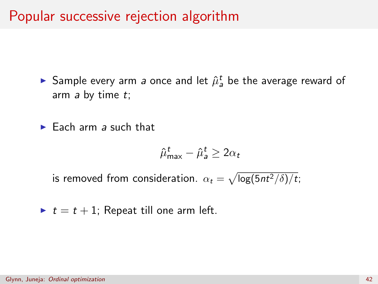#### Popular successive rejection algorithm

 $\blacktriangleright$  Sample every arm *a* once and let  $\hat{\mu}_a^t$  be the average reward of arm  $a$  by time  $t$ ;

 $\blacktriangleright$  Each arm a such that

$$
\hat{\mu}_{\max}^t - \hat{\mu}_{a}^t \ge 2\alpha_t
$$

is removed from consideration.  $\alpha_t = \sqrt{\log(5nt^2/\delta)/t};$ 

 $\blacktriangleright$   $t = t + 1$ ; Repeat till one arm left.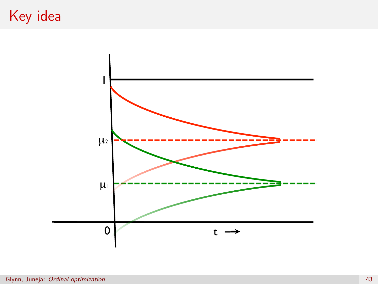## Key idea

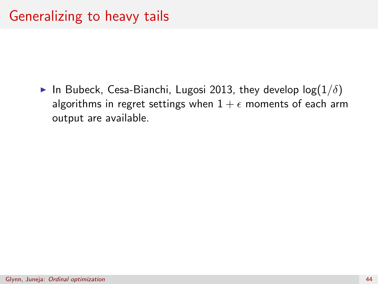In Bubeck, Cesa-Bianchi, Lugosi 2013, they develop  $log(1/\delta)$ algorithms in regret settings when  $1 + \epsilon$  moments of each arm output are available.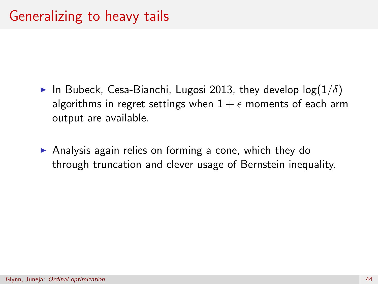- In Bubeck, Cesa-Bianchi, Lugosi 2013, they develop  $log(1/\delta)$ algorithms in regret settings when  $1 + \epsilon$  moments of each arm output are available.
- $\triangleright$  Analysis again relies on forming a cone, which they do through truncation and clever usage of Bernstein inequality.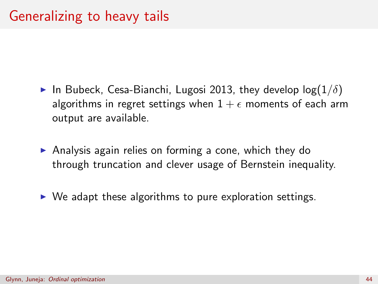- In Bubeck, Cesa-Bianchi, Lugosi 2013, they develop  $log(1/\delta)$ algorithms in regret settings when  $1 + \epsilon$  moments of each arm output are available.
- $\triangleright$  Analysis again relies on forming a cone, which they do through truncation and clever usage of Bernstein inequality.
- $\triangleright$  We adapt these algorithms to pure exploration settings.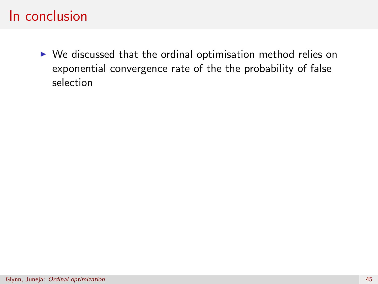$\triangleright$  We discussed that the ordinal optimisation method relies on exponential convergence rate of the the probability of false selection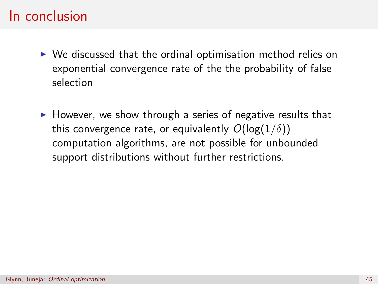- $\triangleright$  We discussed that the ordinal optimisation method relies on exponential convergence rate of the the probability of false selection
- $\triangleright$  However, we show through a series of negative results that this convergence rate, or equivalently  $O(\log(1/\delta))$ computation algorithms, are not possible for unbounded support distributions without further restrictions.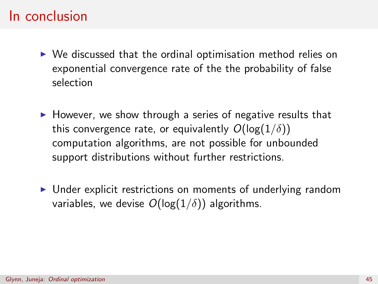- $\triangleright$  We discussed that the ordinal optimisation method relies on exponential convergence rate of the the probability of false selection
- $\triangleright$  However, we show through a series of negative results that this convergence rate, or equivalently  $O(\log(1/\delta))$ computation algorithms, are not possible for unbounded support distributions without further restrictions.
- $\triangleright$  Under explicit restrictions on moments of underlying random variables, we devise  $O(log(1/\delta))$  algorithms.